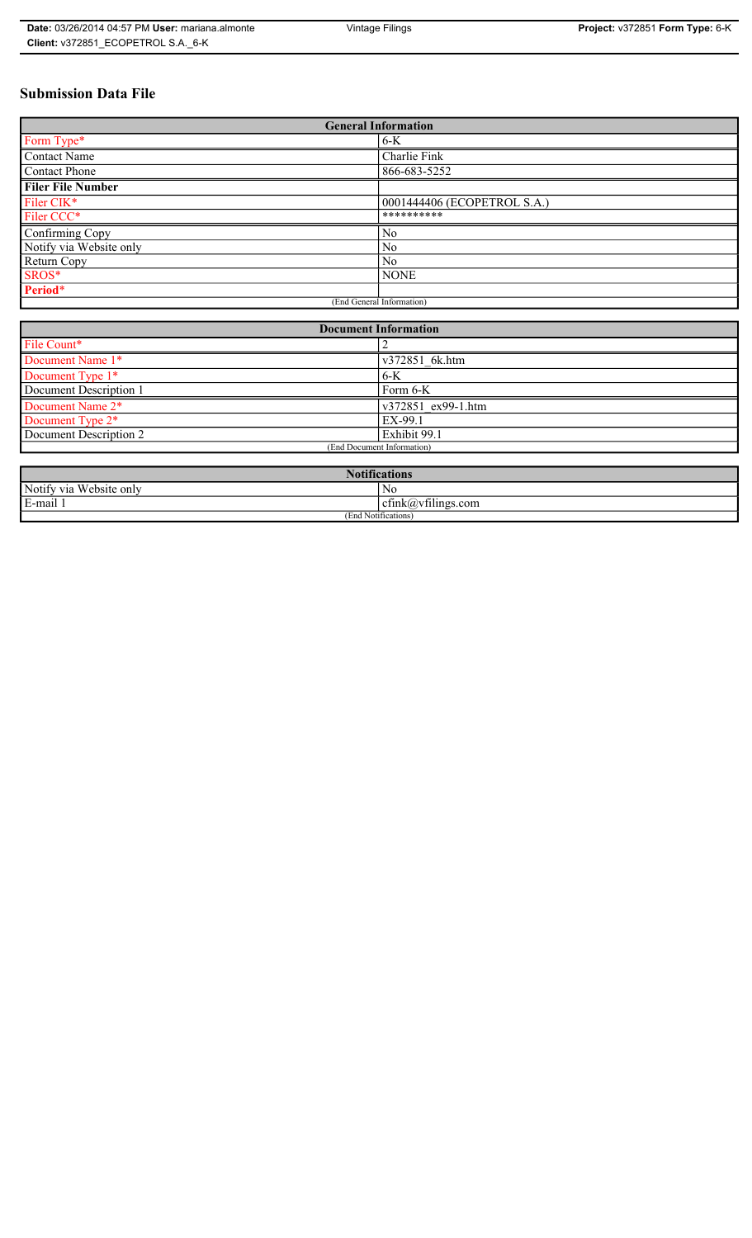# **Submission Data File**

| <b>General Information</b> |                             |  |
|----------------------------|-----------------------------|--|
| Form Type*                 | $6-K$                       |  |
| <b>Contact Name</b>        | Charlie Fink                |  |
| Contact Phone              | 866-683-5252                |  |
| <b>Filer File Number</b>   |                             |  |
| Filer CIK*                 | 0001444406 (ECOPETROL S.A.) |  |
| Filer CCC*                 | **********                  |  |
| Confirming Copy            | No                          |  |
| Notify via Website only    | N <sub>0</sub>              |  |
| Return Copy                | N <sub>0</sub>              |  |
| SROS*                      | <b>NONE</b>                 |  |
| Period*                    |                             |  |
| (End General Information)  |                             |  |

| <b>Document Information</b> |                    |  |
|-----------------------------|--------------------|--|
| File Count*                 |                    |  |
| Document Name 1*            | v372851 6k.htm     |  |
| Document Type 1*            | $6-K$              |  |
| Document Description 1      | Form 6-K           |  |
| Document Name 2*            | v372851 ex99-1.htm |  |
| Document Type 2*            | EX-99.1            |  |
| Document Description 2      | Exhibit 99.1       |  |
| (End Document Information)  |                    |  |
|                             |                    |  |

| 1: C<br>tications                        |                                                                 |  |
|------------------------------------------|-----------------------------------------------------------------|--|
| <b>TTT</b><br>Notify via<br>Website only | N0                                                              |  |
| E-mail 1                                 | $\sim$ $\cdot$<br>$\tilde{\phantom{a}}$<br>ctink(a)vtilings.com |  |
| (End Notifications)                      |                                                                 |  |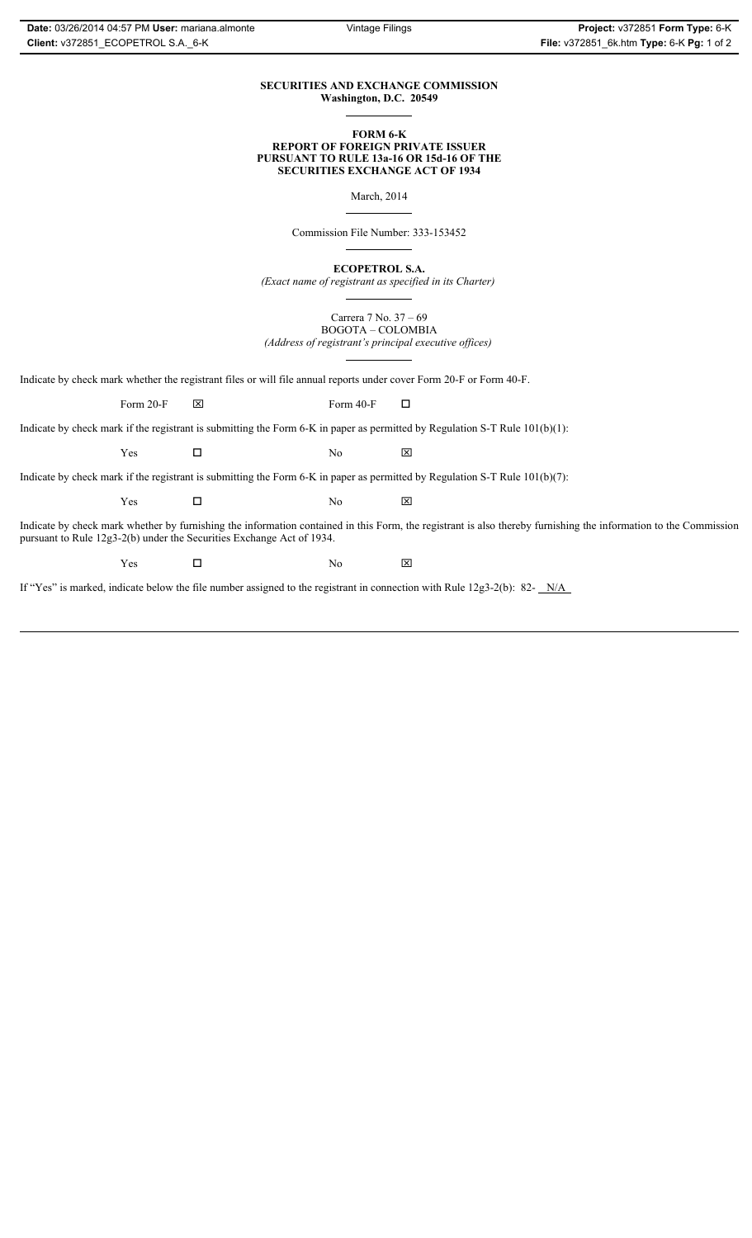### **SECURITIES AND EXCHANGE COMMISSION Washington, D.C. 20549**

### **FORM 6-K REPORT OF FOREIGN PRIVATE ISSUER PURSUANT TO RULE 13a-16 OR 15d-16 OF THE SECURITIES EXCHANGE ACT OF 1934**

March, 2014

Commission File Number: 333-153452

**ECOPETROL S.A.**

*(Exact name of registrant as specified in its Charter)*

Carrera 7 No. 37 – 69 BOGOTA – COLOMBIA *(Address of registrant's principal executive offices)*

Indicate by check mark whether the registrant files or will file annual reports under cover Form 20-F or Form 40-F.

Form 20-F  $\boxtimes$  Form 40-F  $\Box$ 

Indicate by check mark if the registrant is submitting the Form 6-K in paper as permitted by Regulation S-T Rule 101(b)(1):

 $Yes$   $\Box$  No  $X$ 

Indicate by check mark if the registrant is submitting the Form 6-K in paper as permitted by Regulation S-T Rule 101(b)(7):

 $Yes$   $\Box$  No  $X$ 

Indicate by check mark whether by furnishing the information contained in this Form, the registrant is also thereby furnishing the information to the Commission pursuant to Rule 12g3-2(b) under the Securities Exchange Act of 1934.

 $Yes$   $\Box$  No  $X$ 

If "Yes" is marked, indicate below the file number assigned to the registrant in connection with Rule 12g3-2(b): 82- N/A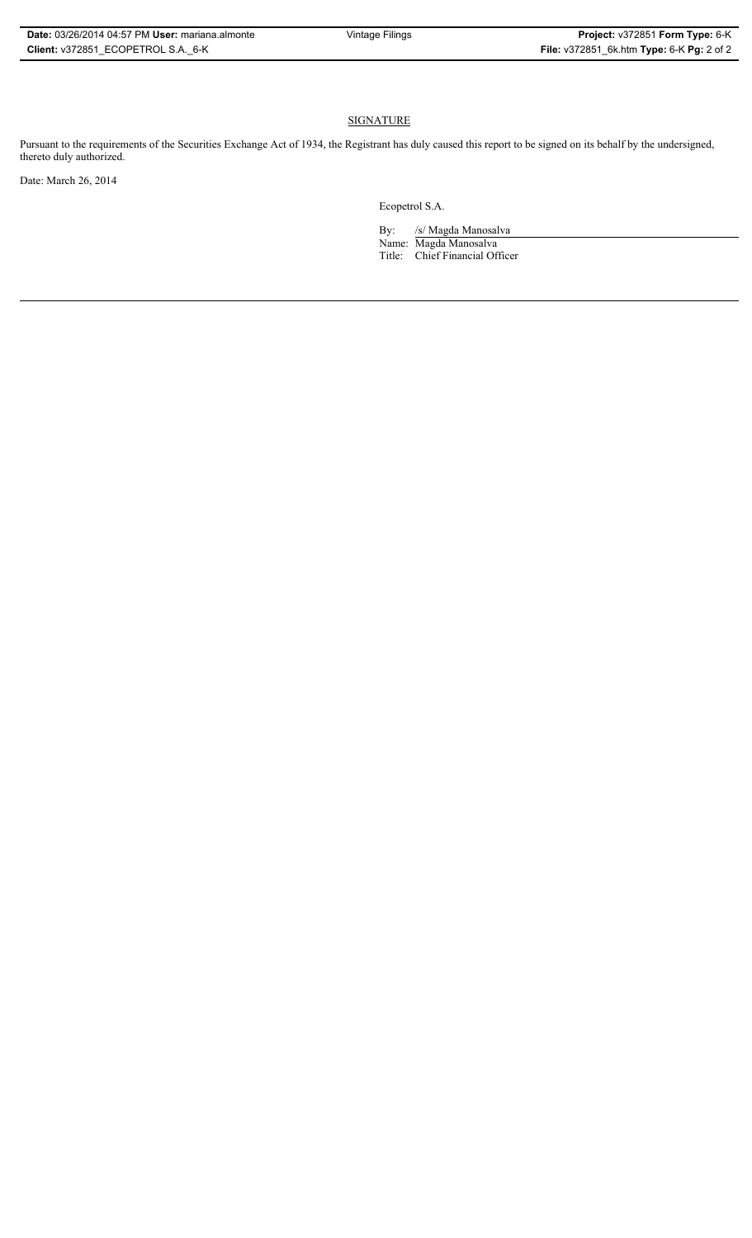# **SIGNATURE**

Pursuant to the requirements of the Securities Exchange Act of 1934, the Registrant has duly caused this report to be signed on its behalf by the undersigned, thereto duly authorized.

Date: March 26, 2014

Ecopetrol S.A.

By: /s/ Magda Manosalva Name: Magda Manosalva Title: Chief Financial Officer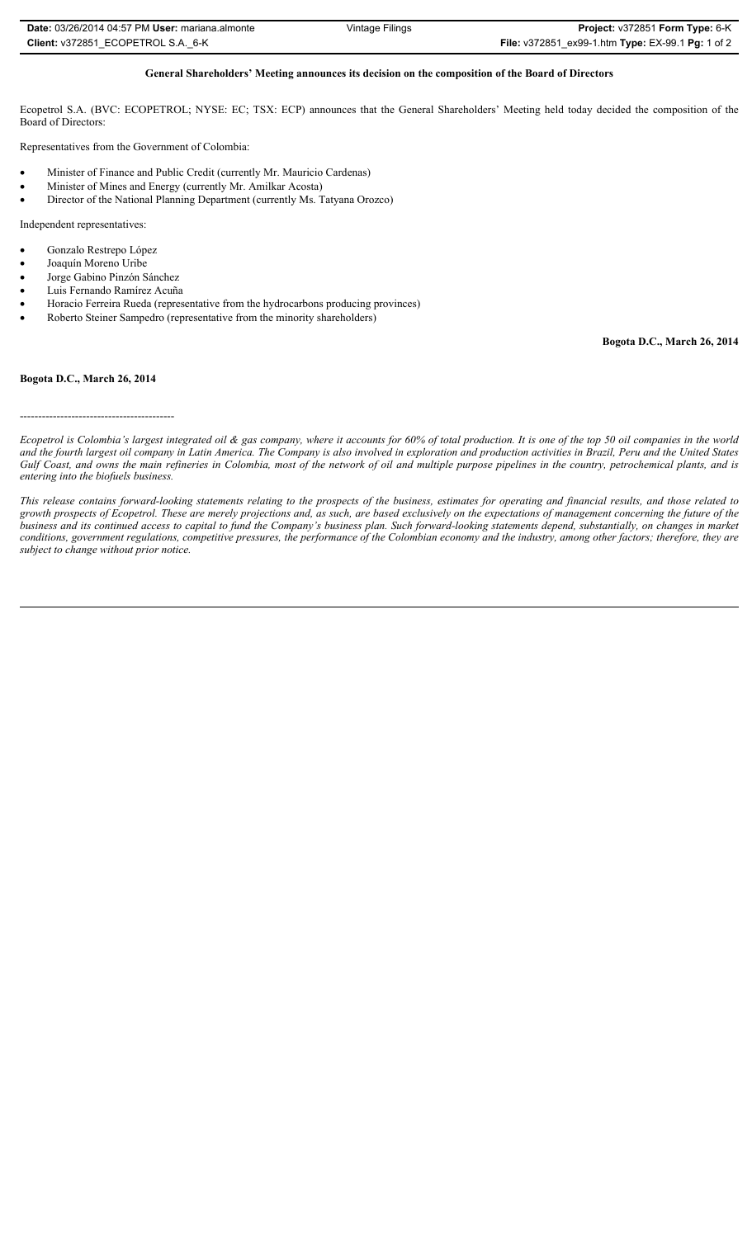| Date: 03/26/2014 04:57 PM User: mariana.almonte | Vintage Filings | <b>Project: v372851 Form Type: 6-K</b>                                         |
|-------------------------------------------------|-----------------|--------------------------------------------------------------------------------|
| Client: v372851 ECOPETROL S.A. 6-K              |                 | <b>File:</b> $\sqrt{372851}$ ex99-1.htm <b>Type:</b> EX-99.1 <b>Pg:</b> 1 of 2 |

### **General Shareholders' Meeting announces its decision on the composition of the Board of Directors**

Ecopetrol S.A. (BVC: ECOPETROL; NYSE: EC; TSX: ECP) announces that the General Shareholders' Meeting held today decided the composition of the Board of Directors:

Representatives from the Government of Colombia:

- Minister of Finance and Public Credit (currently Mr. Mauricio Cardenas)
- x Minister of Mines and Energy (currently Mr. Amilkar Acosta)
- Director of the National Planning Department (currently Ms. Tatyana Orozco)

Independent representatives:

- Gonzalo Restrepo López
- Joaquín Moreno Uribe
- Jorge Gabino Pinzón Sánchez
- Luis Fernando Ramírez Acuña
- Horacio Ferreira Rueda (representative from the hydrocarbons producing provinces)
- Roberto Steiner Sampedro (representative from the minority shareholders)

**Bogota D.C., March 26, 2014**

#### **Bogota D.C., March 26, 2014**

------------------------------------------

*Ecopetrol is Colombia's largest integrated oil & gas company, where it accounts for 60% of total production. It is one of the top 50 oil companies in the world and the fourth largest oil company in Latin America. The Company is also involved in exploration and production activities in Brazil, Peru and the United States Gulf Coast, and owns the main refineries in Colombia, most of the network of oil and multiple purpose pipelines in the country, petrochemical plants, and is entering into the biofuels business.* 

*This release contains forward-looking statements relating to the prospects of the business, estimates for operating and financial results, and those related to growth prospects of Ecopetrol. These are merely projections and, as such, are based exclusively on the expectations of management concerning the future of the business and its continued access to capital to fund the Company's business plan. Such forward-looking statements depend, substantially, on changes in market conditions, government regulations, competitive pressures, the performance of the Colombian economy and the industry, among other factors; therefore, they are subject to change without prior notice.*